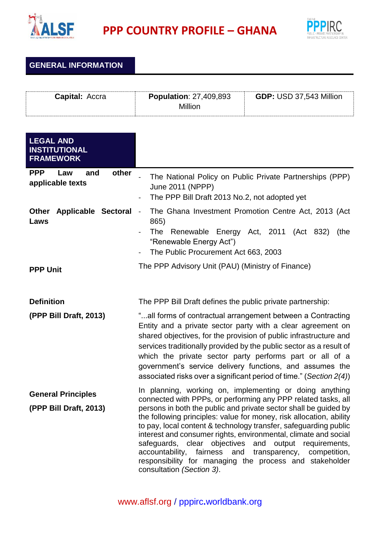

**PPP COUNTRY PROFILE – GHANA**



**GENERAL INFORMATION**

| <b>Capital: Accra</b> | <b>Population: 27,409,893</b> | <b>GDP: USD 37,543 Million</b> |  |
|-----------------------|-------------------------------|--------------------------------|--|
|                       | Million                       |                                |  |

| <b>LEGAL AND</b><br><b>INSTITUTIONAL</b><br><b>FRAMEWORK</b> |                                                                                                                                                                                                                                                                                                                                                                                                                                                                                                                                                                                                                              |  |
|--------------------------------------------------------------|------------------------------------------------------------------------------------------------------------------------------------------------------------------------------------------------------------------------------------------------------------------------------------------------------------------------------------------------------------------------------------------------------------------------------------------------------------------------------------------------------------------------------------------------------------------------------------------------------------------------------|--|
| <b>PPP</b><br>other<br>and<br>Law<br>applicable texts        | The National Policy on Public Private Partnerships (PPP)<br>June 2011 (NPPP)<br>The PPP Bill Draft 2013 No.2, not adopted yet                                                                                                                                                                                                                                                                                                                                                                                                                                                                                                |  |
| Other<br><b>Applicable Sectoral</b><br>Laws                  | The Ghana Investment Promotion Centre Act, 2013 (Act<br>$\blacksquare$<br>865)<br>The<br>Renewable Energy Act, 2011 (Act 832)<br>(the<br>"Renewable Energy Act")<br>The Public Procurement Act 663, 2003                                                                                                                                                                                                                                                                                                                                                                                                                     |  |
| <b>PPP Unit</b>                                              | The PPP Advisory Unit (PAU) (Ministry of Finance)                                                                                                                                                                                                                                                                                                                                                                                                                                                                                                                                                                            |  |
| <b>Definition</b>                                            | The PPP Bill Draft defines the public private partnership:                                                                                                                                                                                                                                                                                                                                                                                                                                                                                                                                                                   |  |
| (PPP Bill Draft, 2013)                                       | "all forms of contractual arrangement between a Contracting<br>Entity and a private sector party with a clear agreement on<br>shared objectives, for the provision of public infrastructure and<br>services traditionally provided by the public sector as a result of<br>which the private sector party performs part or all of a<br>government's service delivery functions, and assumes the<br>associated risks over a significant period of time." (Section 2(4))                                                                                                                                                        |  |
| <b>General Principles</b><br>(PPP Bill Draft, 2013)          | In planning, working on, implementing or doing anything<br>connected with PPPs, or performing any PPP related tasks, all<br>persons in both the public and private sector shall be guided by<br>the following principles: value for money, risk allocation, ability<br>to pay, local content & technology transfer, safeguarding public<br>interest and consumer rights, environmental, climate and social<br>safeguards, clear objectives and output requirements,<br>accountability, fairness and<br>transparency,<br>competition,<br>responsibility for managing the process and stakeholder<br>consultation (Section 3). |  |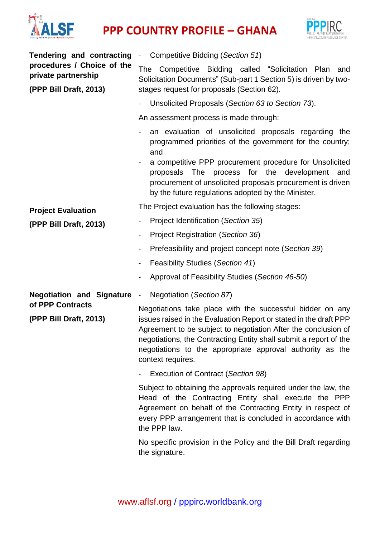

## **PPP** COUNTRY PROFILE – GHANA



| <b>Tendering and contracting</b>                                            | Competitive Bidding (Section 51)<br>$\blacksquare$                                                                                                                                                                                                                                                                                                      |  |
|-----------------------------------------------------------------------------|---------------------------------------------------------------------------------------------------------------------------------------------------------------------------------------------------------------------------------------------------------------------------------------------------------------------------------------------------------|--|
| procedures / Choice of the<br>private partnership<br>(PPP Bill Draft, 2013) | Competitive Bidding called "Solicitation Plan and<br><b>The</b><br>Solicitation Documents" (Sub-part 1 Section 5) is driven by two-<br>stages request for proposals (Section 62).                                                                                                                                                                       |  |
|                                                                             | Unsolicited Proposals (Section 63 to Section 73).                                                                                                                                                                                                                                                                                                       |  |
|                                                                             | An assessment process is made through:                                                                                                                                                                                                                                                                                                                  |  |
|                                                                             | an evaluation of unsolicited proposals regarding the<br>programmed priorities of the government for the country;<br>and                                                                                                                                                                                                                                 |  |
|                                                                             | a competitive PPP procurement procedure for Unsolicited<br>proposals The process for the development<br>and<br>procurement of unsolicited proposals procurement is driven<br>by the future regulations adopted by the Minister.                                                                                                                         |  |
| <b>Project Evaluation</b>                                                   | The Project evaluation has the following stages:                                                                                                                                                                                                                                                                                                        |  |
| (PPP Bill Draft, 2013)                                                      | Project Identification (Section 35)                                                                                                                                                                                                                                                                                                                     |  |
|                                                                             | Project Registration (Section 36)                                                                                                                                                                                                                                                                                                                       |  |
|                                                                             | Prefeasibility and project concept note (Section 39)                                                                                                                                                                                                                                                                                                    |  |
|                                                                             | <b>Feasibility Studies (Section 41)</b><br>$\blacksquare$                                                                                                                                                                                                                                                                                               |  |
|                                                                             | Approval of Feasibility Studies (Section 46-50)                                                                                                                                                                                                                                                                                                         |  |
| <b>Negotiation and Signature -</b><br><b>Negotiation (Section 87)</b>       |                                                                                                                                                                                                                                                                                                                                                         |  |
| of PPP Contracts<br>(PPP Bill Draft, 2013)                                  | Negotiations take place with the successful bidder on any<br>issues raised in the Evaluation Report or stated in the draft PPP<br>Agreement to be subject to negotiation After the conclusion of<br>negotiations, the Contracting Entity shall submit a report of the<br>negotiations to the appropriate approval authority as the<br>context requires. |  |
|                                                                             | Execution of Contract (Section 98)                                                                                                                                                                                                                                                                                                                      |  |
|                                                                             | Subject to obtaining the approvals required under the law, the<br>Head of the Contracting Entity shall execute the PPP<br>Agreement on behalf of the Contracting Entity in respect of<br>every PPP arrangement that is concluded in accordance with<br>the PPP law.                                                                                     |  |
|                                                                             | No specific provision in the Policy and the Bill Draft regarding<br>the signature.                                                                                                                                                                                                                                                                      |  |